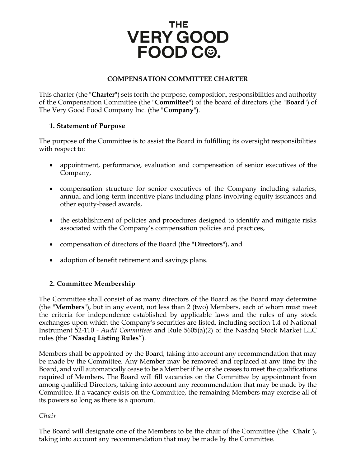# THE. **VERY GOOD** FOOD C<sup>®</sup>.

# **COMPENSATION COMMITTEE CHARTER**

This charter (the "**Charter**") sets forth the purpose, composition, responsibilities and authority of the Compensation Committee (the "**Committee**") of the board of directors (the "**Board**") of The Very Good Food Company Inc. (the "**Company**").

#### **1. Statement of Purpose**

The purpose of the Committee is to assist the Board in fulfilling its oversight responsibilities with respect to:

- appointment, performance, evaluation and compensation of senior executives of the Company,
- compensation structure for senior executives of the Company including salaries, annual and long-term incentive plans including plans involving equity issuances and other equity-based awards,
- the establishment of policies and procedures designed to identify and mitigate risks associated with the Company's compensation policies and practices,
- compensation of directors of the Board (the "**Directors**"), and
- adoption of benefit retirement and savings plans.

# **2. Committee Membership**

The Committee shall consist of as many directors of the Board as the Board may determine (the "**Members**"), but in any event, not less than 2 (two) Members, each of whom must meet the criteria for independence established by applicable laws and the rules of any stock exchanges upon which the Company's securities are listed, including section 1.4 of National Instrument 52-110 - *Audit Committees* and Rule 5605(a)(2) of the Nasdaq Stock Market LLC rules (the "**Nasdaq Listing Rules**").

Members shall be appointed by the Board, taking into account any recommendation that may be made by the Committee. Any Member may be removed and replaced at any time by the Board, and will automatically cease to be a Member if he or she ceases to meet the qualifications required of Members. The Board will fill vacancies on the Committee by appointment from among qualified Directors, taking into account any recommendation that may be made by the Committee. If a vacancy exists on the Committee, the remaining Members may exercise all of its powers so long as there is a quorum.

#### *Chair*

The Board will designate one of the Members to be the chair of the Committee (the "**Chair**"), taking into account any recommendation that may be made by the Committee.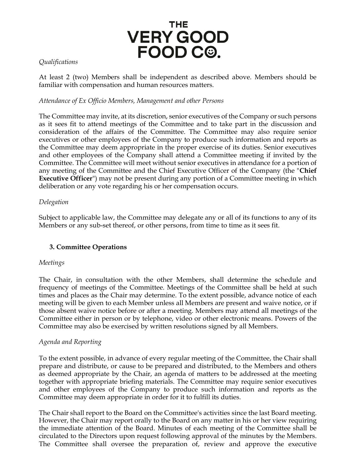# THE **VERY GOOD** FOOD C<sup>®</sup>.

#### *Qualifications*

At least 2 (two) Members shall be independent as described above. Members should be familiar with compensation and human resources matters.

#### *Attendance of Ex Officio Members, Management and other Persons*

The Committee may invite, at its discretion, senior executives of the Company or such persons as it sees fit to attend meetings of the Committee and to take part in the discussion and consideration of the affairs of the Committee. The Committee may also require senior executives or other employees of the Company to produce such information and reports as the Committee may deem appropriate in the proper exercise of its duties. Senior executives and other employees of the Company shall attend a Committee meeting if invited by the Committee. The Committee will meet without senior executives in attendance for a portion of any meeting of the Committee and the Chief Executive Officer of the Company (the "**Chief Executive Officer**") may not be present during any portion of a Committee meeting in which deliberation or any vote regarding his or her compensation occurs.

# *Delegation*

Subject to applicable law, the Committee may delegate any or all of its functions to any of its Members or any sub-set thereof, or other persons, from time to time as it sees fit.

# **3. Committee Operations**

#### *Meetings*

The Chair, in consultation with the other Members, shall determine the schedule and frequency of meetings of the Committee. Meetings of the Committee shall be held at such times and places as the Chair may determine. To the extent possible, advance notice of each meeting will be given to each Member unless all Members are present and waive notice, or if those absent waive notice before or after a meeting. Members may attend all meetings of the Committee either in person or by telephone, video or other electronic means. Powers of the Committee may also be exercised by written resolutions signed by all Members.

#### *Agenda and Reporting*

To the extent possible, in advance of every regular meeting of the Committee, the Chair shall prepare and distribute, or cause to be prepared and distributed, to the Members and others as deemed appropriate by the Chair, an agenda of matters to be addressed at the meeting together with appropriate briefing materials. The Committee may require senior executives and other employees of the Company to produce such information and reports as the Committee may deem appropriate in order for it to fulfill its duties.

The Chair shall report to the Board on the Committee's activities since the last Board meeting. However, the Chair may report orally to the Board on any matter in his or her view requiring the immediate attention of the Board. Minutes of each meeting of the Committee shall be circulated to the Directors upon request following approval of the minutes by the Members. The Committee shall oversee the preparation of, review and approve the executive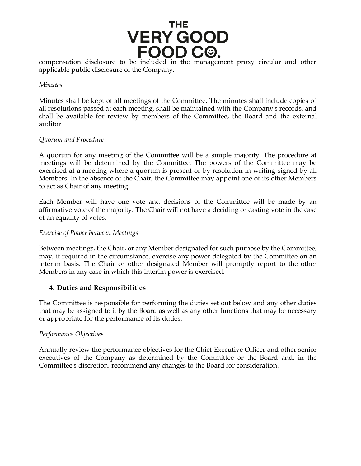

applicable public disclosure of the Company.

#### *Minutes*

Minutes shall be kept of all meetings of the Committee. The minutes shall include copies of all resolutions passed at each meeting, shall be maintained with the Company's records, and shall be available for review by members of the Committee, the Board and the external auditor.

#### *Quorum and Procedure*

A quorum for any meeting of the Committee will be a simple majority. The procedure at meetings will be determined by the Committee. The powers of the Committee may be exercised at a meeting where a quorum is present or by resolution in writing signed by all Members. In the absence of the Chair, the Committee may appoint one of its other Members to act as Chair of any meeting.

Each Member will have one vote and decisions of the Committee will be made by an affirmative vote of the majority. The Chair will not have a deciding or casting vote in the case of an equality of votes.

#### *Exercise of Power between Meetings*

Between meetings, the Chair, or any Member designated for such purpose by the Committee, may, if required in the circumstance, exercise any power delegated by the Committee on an interim basis. The Chair or other designated Member will promptly report to the other Members in any case in which this interim power is exercised.

#### **4. Duties and Responsibilities**

The Committee is responsible for performing the duties set out below and any other duties that may be assigned to it by the Board as well as any other functions that may be necessary or appropriate for the performance of its duties.

#### *Performance Objectives*

Annually review the performance objectives for the Chief Executive Officer and other senior executives of the Company as determined by the Committee or the Board and, in the Committee's discretion, recommend any changes to the Board for consideration.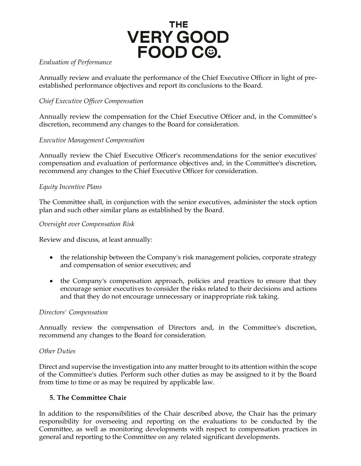

### *Evaluation of Performance*

Annually review and evaluate the performance of the Chief Executive Officer in light of preestablished performance objectives and report its conclusions to the Board.

# *Chief Executive Officer Compensation*

Annually review the compensation for the Chief Executive Officer and, in the Committee's discretion, recommend any changes to the Board for consideration.

# *Executive Management Compensation*

Annually review the Chief Executive Officer's recommendations for the senior executives' compensation and evaluation of performance objectives and, in the Committee's discretion, recommend any changes to the Chief Executive Officer for consideration.

# *Equity Incentive Plans*

The Committee shall, in conjunction with the senior executives, administer the stock option plan and such other similar plans as established by the Board.

#### *Oversight over Compensation Risk*

Review and discuss, at least annually:

- the relationship between the Company's risk management policies, corporate strategy and compensation of senior executives; and
- the Company's compensation approach, policies and practices to ensure that they encourage senior executives to consider the risks related to their decisions and actions and that they do not encourage unnecessary or inappropriate risk taking.

#### *Directors' Compensation*

Annually review the compensation of Directors and, in the Committee's discretion, recommend any changes to the Board for consideration.

#### *Other Duties*

Direct and supervise the investigation into any matter brought to its attention within the scope of the Committee's duties. Perform such other duties as may be assigned to it by the Board from time to time or as may be required by applicable law.

# **5. The Committee Chair**

In addition to the responsibilities of the Chair described above, the Chair has the primary responsibility for overseeing and reporting on the evaluations to be conducted by the Committee, as well as monitoring developments with respect to compensation practices in general and reporting to the Committee on any related significant developments.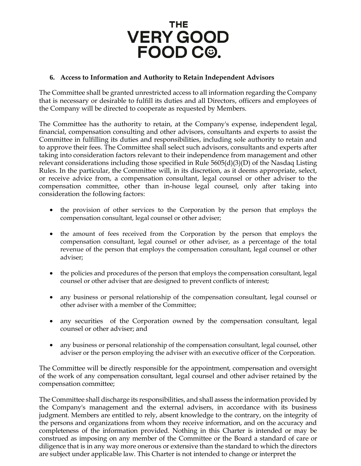

#### **6. Access to Information and Authority to Retain Independent Advisors**

The Committee shall be granted unrestricted access to all information regarding the Company that is necessary or desirable to fulfill its duties and all Directors, officers and employees of the Company will be directed to cooperate as requested by Members.

The Committee has the authority to retain, at the Company's expense, independent legal, financial, compensation consulting and other advisors, consultants and experts to assist the Committee in fulfilling its duties and responsibilities, including sole authority to retain and to approve their fees. The Committee shall select such advisors, consultants and experts after taking into consideration factors relevant to their independence from management and other relevant considerations including those specified in Rule 5605(d)(3)(D) of the Nasdaq Listing Rules. In the particular, the Committee will, in its discretion, as it deems appropriate, select, or receive advice from, a compensation consultant, legal counsel or other adviser to the compensation committee, other than in-house legal counsel, only after taking into consideration the following factors:

- the provision of other services to the Corporation by the person that employs the compensation consultant, legal counsel or other adviser;
- the amount of fees received from the Corporation by the person that employs the compensation consultant, legal counsel or other adviser, as a percentage of the total revenue of the person that employs the compensation consultant, legal counsel or other adviser;
- the policies and procedures of the person that employs the compensation consultant, legal counsel or other adviser that are designed to prevent conflicts of interest;
- any business or personal relationship of the compensation consultant, legal counsel or other adviser with a member of the Committee;
- any securities of the Corporation owned by the compensation consultant, legal counsel or other adviser; and
- any business or personal relationship of the compensation consultant, legal counsel, other adviser or the person employing the adviser with an executive officer of the Corporation.

The Committee will be directly responsible for the appointment, compensation and oversight of the work of any compensation consultant, legal counsel and other adviser retained by the compensation committee;

The Committee shall discharge its responsibilities, and shall assess the information provided by the Company's management and the external advisers, in accordance with its business judgment. Members are entitled to rely, absent knowledge to the contrary, on the integrity of the persons and organizations from whom they receive information, and on the accuracy and completeness of the information provided. Nothing in this Charter is intended or may be construed as imposing on any member of the Committee or the Board a standard of care or diligence that is in any way more onerous or extensive than the standard to which the directors are subject under applicable law. This Charter is not intended to change or interpret the